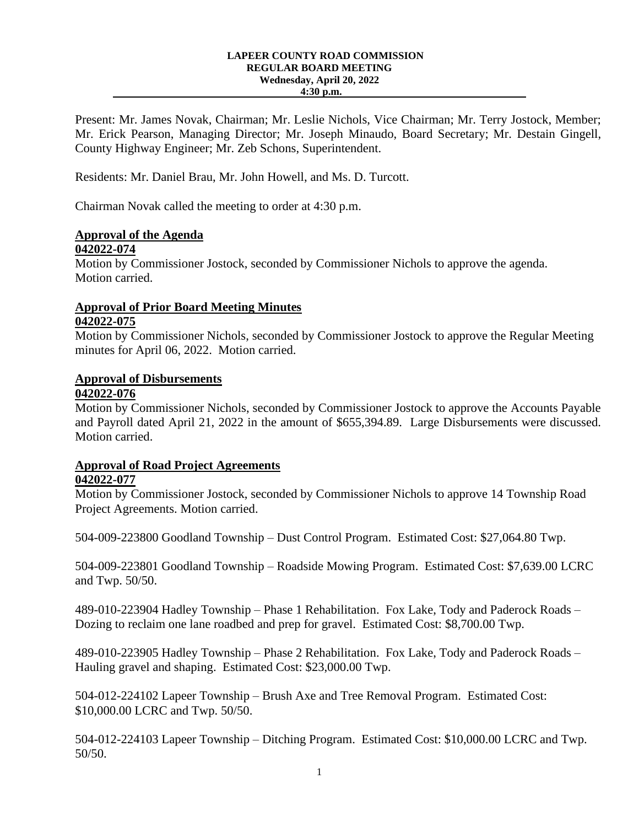#### **LAPEER COUNTY ROAD COMMISSION REGULAR BOARD MEETING Wednesday, April 20, 2022 4:30 p.m.**

Present: Mr. James Novak, Chairman; Mr. Leslie Nichols, Vice Chairman; Mr. Terry Jostock, Member; Mr. Erick Pearson, Managing Director; Mr. Joseph Minaudo, Board Secretary; Mr. Destain Gingell, County Highway Engineer; Mr. Zeb Schons, Superintendent.

Residents: Mr. Daniel Brau, Mr. John Howell, and Ms. D. Turcott.

Chairman Novak called the meeting to order at 4:30 p.m.

# **Approval of the Agenda**

#### **042022-074**

Motion by Commissioner Jostock, seconded by Commissioner Nichols to approve the agenda. Motion carried.

## **Approval of Prior Board Meeting Minutes 042022-075**

Motion by Commissioner Nichols, seconded by Commissioner Jostock to approve the Regular Meeting minutes for April 06, 2022. Motion carried.

## **Approval of Disbursements**

### **042022-076**

Motion by Commissioner Nichols, seconded by Commissioner Jostock to approve the Accounts Payable and Payroll dated April 21, 2022 in the amount of \$655,394.89. Large Disbursements were discussed. Motion carried.

## **Approval of Road Project Agreements**

#### **042022-077**

Motion by Commissioner Jostock, seconded by Commissioner Nichols to approve 14 Township Road Project Agreements. Motion carried.

504-009-223800 Goodland Township – Dust Control Program. Estimated Cost: \$27,064.80 Twp.

504-009-223801 Goodland Township – Roadside Mowing Program. Estimated Cost: \$7,639.00 LCRC and Twp. 50/50.

489-010-223904 Hadley Township – Phase 1 Rehabilitation. Fox Lake, Tody and Paderock Roads – Dozing to reclaim one lane roadbed and prep for gravel. Estimated Cost: \$8,700.00 Twp.

489-010-223905 Hadley Township – Phase 2 Rehabilitation. Fox Lake, Tody and Paderock Roads – Hauling gravel and shaping. Estimated Cost: \$23,000.00 Twp.

504-012-224102 Lapeer Township – Brush Axe and Tree Removal Program. Estimated Cost: \$10,000.00 LCRC and Twp. 50/50.

504-012-224103 Lapeer Township – Ditching Program. Estimated Cost: \$10,000.00 LCRC and Twp. 50/50.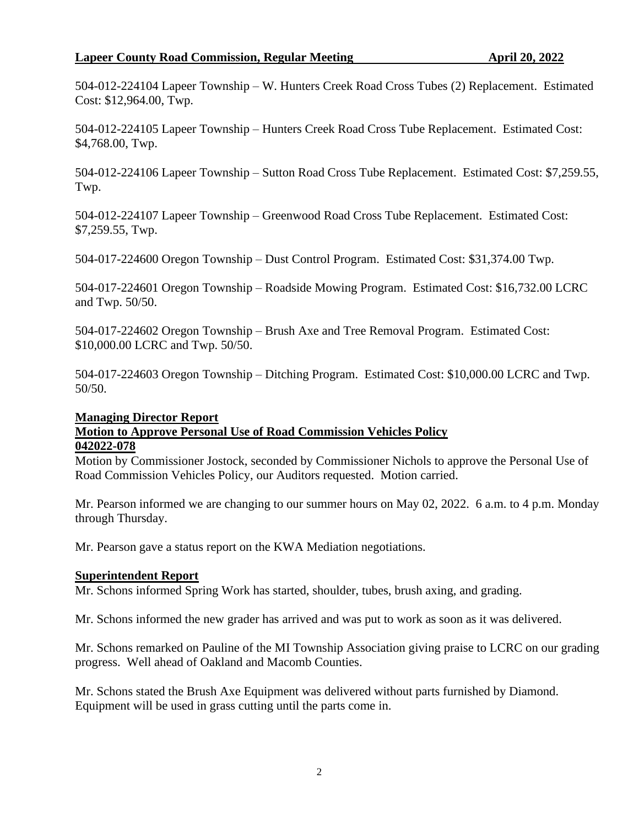#### **Lapeer County Road Commission, Regular Meeting <b>April 20, 2022**

504-012-224104 Lapeer Township – W. Hunters Creek Road Cross Tubes (2) Replacement. Estimated Cost: \$12,964.00, Twp.

504-012-224105 Lapeer Township – Hunters Creek Road Cross Tube Replacement. Estimated Cost: \$4,768.00, Twp.

504-012-224106 Lapeer Township – Sutton Road Cross Tube Replacement. Estimated Cost: \$7,259.55, Twp.

504-012-224107 Lapeer Township – Greenwood Road Cross Tube Replacement. Estimated Cost: \$7,259.55, Twp.

504-017-224600 Oregon Township – Dust Control Program. Estimated Cost: \$31,374.00 Twp.

504-017-224601 Oregon Township – Roadside Mowing Program. Estimated Cost: \$16,732.00 LCRC and Twp. 50/50.

504-017-224602 Oregon Township – Brush Axe and Tree Removal Program. Estimated Cost: \$10,000.00 LCRC and Twp. 50/50.

504-017-224603 Oregon Township – Ditching Program. Estimated Cost: \$10,000.00 LCRC and Twp. 50/50.

#### **Managing Director Report**

#### **Motion to Approve Personal Use of Road Commission Vehicles Policy 042022-078**

Motion by Commissioner Jostock, seconded by Commissioner Nichols to approve the Personal Use of Road Commission Vehicles Policy, our Auditors requested. Motion carried.

Mr. Pearson informed we are changing to our summer hours on May 02, 2022. 6 a.m. to 4 p.m. Monday through Thursday.

Mr. Pearson gave a status report on the KWA Mediation negotiations.

#### **Superintendent Report**

Mr. Schons informed Spring Work has started, shoulder, tubes, brush axing, and grading.

Mr. Schons informed the new grader has arrived and was put to work as soon as it was delivered.

Mr. Schons remarked on Pauline of the MI Township Association giving praise to LCRC on our grading progress. Well ahead of Oakland and Macomb Counties.

Mr. Schons stated the Brush Axe Equipment was delivered without parts furnished by Diamond. Equipment will be used in grass cutting until the parts come in.